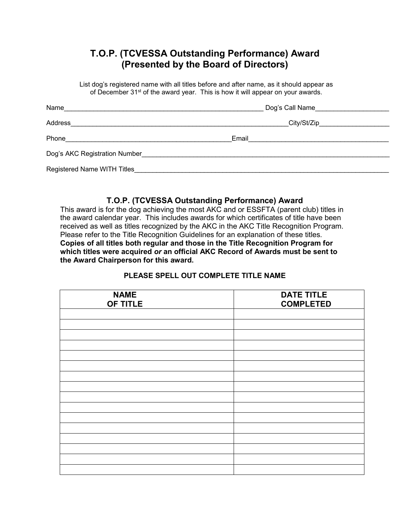## **T.O.P. (TCVESSA Outstanding Performance) Award (Presented by the Board of Directors)**

List dog's registered name with all titles before and after name, as it should appear as of December 31<sup>st</sup> of the award year. This is how it will appear on your awards.

| Name                          | Dog's Call Name |
|-------------------------------|-----------------|
| Address                       | City/St/Zip     |
| Phone                         | Email           |
| Dog's AKC Registration Number |                 |
| Registered Name WITH Titles   |                 |

## **T.O.P. (TCVESSA Outstanding Performance) Award**

This award is for the dog achieving the most AKC and or ESSFTA (parent club) titles in the award calendar year. This includes awards for which certificates of title have been received as well as titles recognized by the AKC in the AKC Title Recognition Program. Please refer to the Title Recognition Guidelines for an explanation of these titles. **Copies of all titles both regular and those in the Title Recognition Program for which titles were acquired** *or* **an official AKC Record of Awards must be sent to the Award Chairperson for this award.**

## **PLEASE SPELL OUT COMPLETE TITLE NAME**

| <b>NAME</b><br>OF TITLE | <b>DATE TITLE</b><br><b>COMPLETED</b> |
|-------------------------|---------------------------------------|
|                         |                                       |
|                         |                                       |
|                         |                                       |
|                         |                                       |
|                         |                                       |
|                         |                                       |
|                         |                                       |
|                         |                                       |
|                         |                                       |
|                         |                                       |
|                         |                                       |
|                         |                                       |
|                         |                                       |
|                         |                                       |
|                         |                                       |
|                         |                                       |